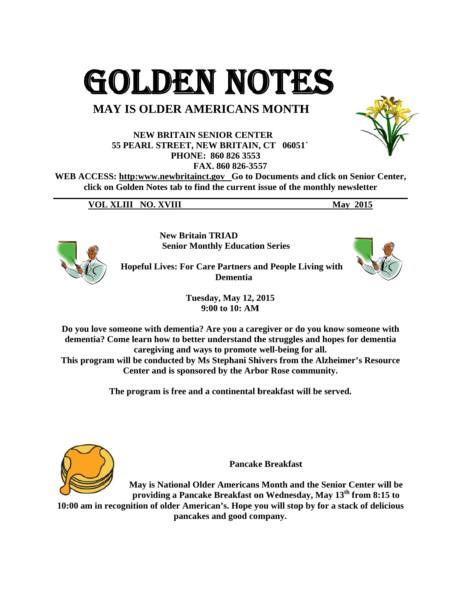GOLDEN NOTES

## **MAY IS OLDER AMERICANS MONTH**

**NEW BRITAIN SENIOR CENTER** 55 PEARL STREET, NEW BRITAIN, CT 06051` PHONE: 860 826 3553 FAX. 860 826-3557

WEB ACCESS: http:www.newbritainct.gov Go to Documents and click on Senior Center, click on Golden Notes tab to find the current issue of the monthly newsletter

**VOL XLIII NO. XVIII May 2015** 



**New Britain TRIAD Senior Monthly Education Series** 

**Hopeful Lives: For Care Partners and People Living with** 

**Tuesday, May 12, 2015** 

**Dementia** 

9:00 to 10: AM

Do you love someone with dementia? Are you a caregiver or do you know someone with dementia? Come learn how to better understand the struggles and hopes for dementia caregiving and ways to promote well-being for all.

This program will be conducted by Ms Stephani Shivers from the Alzheimer's Resource Center and is sponsored by the Arbor Rose community.

The program is free and a continental breakfast will be served.



**Pancake Breakfast** 

May is National Older Americans Month and the Senior Center will be providing a Pancake Breakfast on Wednesday, May 13<sup>th</sup> from 8:15 to 10:00 am in recognition of older American's. Hope you will stop by for a stack of delicious pancakes and good company.

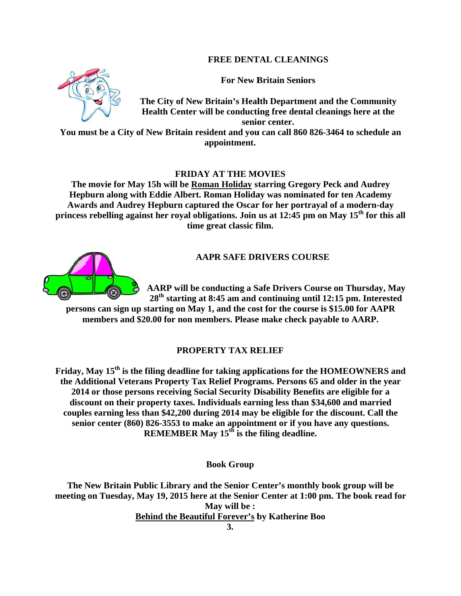## **FREE DENTAL CLEANINGS**

**For New Britain Seniors** 



You must be a City of New Britain resident and you can call 860 826-3464 to schedule an appointment.

## **FRIDAY AT THE MOVIES**

The movie for May 15h will be Roman Holiday starring Gregory Peck and Audrey Hepburn along with Eddie Albert. Roman Holiday was nominated for ten Academy Awards and Audrey Hepburn captured the Oscar for her portrayal of a modern-day princess rebelling against her royal obligations. Join us at 12:45 pm on May 15<sup>th</sup> for this all time great classic film.

## **AAPR SAFE DRIVERS COURSE**

AARP will be conducting a Safe Drivers Course on Thursday, May  $28<sup>th</sup>$  starting at 8:45 am and continuing until 12:15 pm. Interested

persons can sign up starting on May 1, and the cost for the course is \$15.00 for AAPR members and \$20.00 for non members. Please make check payable to AARP.

## PROPERTY TAX RELIEF

Friday, May 15<sup>th</sup> is the filing deadline for taking applications for the HOMEOWNERS and the Additional Veterans Property Tax Relief Programs. Persons 65 and older in the year 2014 or those persons receiving Social Security Disability Benefits are eligible for a discount on their property taxes. Individuals earning less than \$34,600 and married couples earning less than \$42,200 during 2014 may be eligible for the discount. Call the senior center (860) 826-3553 to make an appointment or if you have any questions. REMEMBER May  $15<sup>th</sup>$  is the filing deadline.

**Book Group** 

The New Britain Public Library and the Senior Center's monthly book group will be meeting on Tuesday, May 19, 2015 here at the Senior Center at 1:00 pm. The book read for May will be: **Behind the Beautiful Forever's by Katherine Boo** 



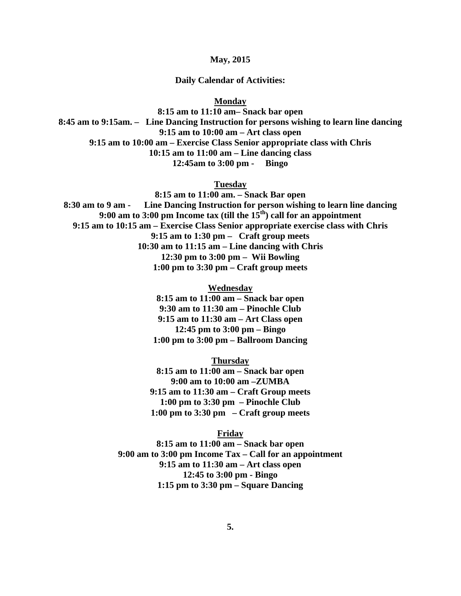**May, 2015** 

#### **Daily Calendar of Activities:**

**Monday** 

**8:15 am to 11:10 am– Snack bar open 8:45 am to 9:15am. – Line Dancing Instruction for persons wishing to learn line dancing 9:15 am to 10:00 am – Art class open 9:15 am to 10:00 am – Exercise Class Senior appropriate class with Chris 10:15 am to 11:00 am – Line dancing class 12:45am to 3:00 pm - Bingo** 

**Tuesday** 

**8:15 am to 11:00 am. – Snack Bar open 8:30 am to 9 am - Line Dancing Instruction for person wishing to learn line dancing 9:00 am to 3:00 pm Income tax (till the 15th) call for an appointment 9:15 am to 10:15 am – Exercise Class Senior appropriate exercise class with Chris 9:15 am to 1:30 pm – Craft group meets 10:30 am to 11:15 am – Line dancing with Chris 12:30 pm to 3:00 pm – Wii Bowling 1:00 pm to 3:30 pm – Craft group meets** 

**Wednesday** 

**8:15 am to 11:00 am – Snack bar open 9:30 am to 11:30 am – Pinochle Club 9:15 am to 11:30 am – Art Class open 12:45 pm to 3:00 pm – Bingo 1:00 pm to 3:00 pm – Ballroom Dancing** 

**Thursday** 

**8:15 am to 11:00 am – Snack bar open 9:00 am to 10:00 am –ZUMBA 9:15 am to 11:30 am – Craft Group meets 1:00 pm to 3:30 pm – Pinochle Club 1:00 pm to 3:30 pm – Craft group meets** 

**Friday** 

**8:15 am to 11:00 am – Snack bar open 9:00 am to 3:00 pm Income Tax – Call for an appointment 9:15 am to 11:30 am – Art class open 12:45 to 3:00 pm - Bingo 1:15 pm to 3:30 pm – Square Dancing**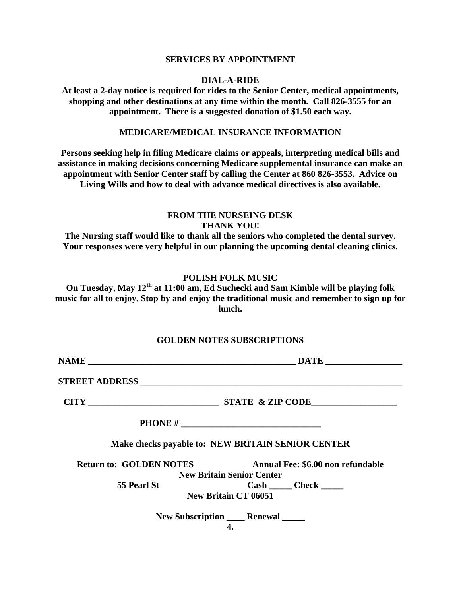#### **SERVICES BY APPOINTMENT**

#### **DIAL-A-RIDE**

**At least a 2-day notice is required for rides to the Senior Center, medical appointments, shopping and other destinations at any time within the month. Call 826-3555 for an appointment. There is a suggested donation of \$1.50 each way.** 

### **MEDICARE/MEDICAL INSURANCE INFORMATION**

**Persons seeking help in filing Medicare claims or appeals, interpreting medical bills and assistance in making decisions concerning Medicare supplemental insurance can make an appointment with Senior Center staff by calling the Center at 860 826-3553. Advice on Living Wills and how to deal with advance medical directives is also available.** 

## **FROM THE NURSEING DESK THANK YOU!**

**The Nursing staff would like to thank all the seniors who completed the dental survey. Your responses were very helpful in our planning the upcoming dental cleaning clinics.** 

### **POLISH FOLK MUSIC**

**On Tuesday, May 12th at 11:00 am, Ed Suchecki and Sam Kimble will be playing folk music for all to enjoy. Stop by and enjoy the traditional music and remember to sign up for lunch.** 

#### **GOLDEN NOTES SUBSCRIPTIONS**

|                                | Make checks payable to: NEW BRITAIN SENIOR CENTER |  |  |  |  |  |
|--------------------------------|---------------------------------------------------|--|--|--|--|--|
| <b>Return to: GOLDEN NOTES</b> | Annual Fee: \$6.00 non refundable                 |  |  |  |  |  |
|                                | <b>New Britain Senior Center</b>                  |  |  |  |  |  |
| <b>55 Pearl St</b>             |                                                   |  |  |  |  |  |
|                                | <b>New Britain CT 06051</b>                       |  |  |  |  |  |
|                                | New Subscription _______ Renewal ______           |  |  |  |  |  |
|                                |                                                   |  |  |  |  |  |